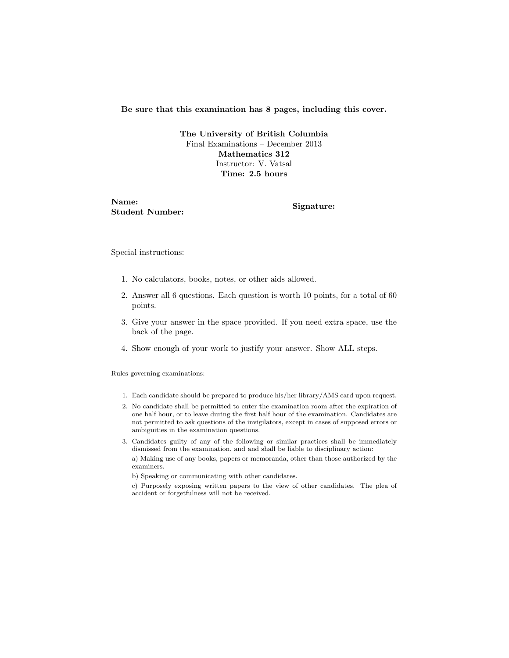#### Be sure that this examination has 8 pages, including this cover.

The University of British Columbia Final Examinations – December 2013 Mathematics 312 Instructor: V. Vatsal Time: 2.5 hours

Name: Student Number: Signature:

Special instructions:

- 1. No calculators, books, notes, or other aids allowed.
- 2. Answer all 6 questions. Each question is worth 10 points, for a total of 60 points.
- 3. Give your answer in the space provided. If you need extra space, use the back of the page.
- 4. Show enough of your work to justify your answer. Show ALL steps.

Rules governing examinations:

- 1. Each candidate should be prepared to produce his/her library/AMS card upon request.
- 2. No candidate shall be permitted to enter the examination room after the expiration of one half hour, or to leave during the first half hour of the examination. Candidates are not permitted to ask questions of the invigilators, except in cases of supposed errors or ambiguities in the examination questions.
- 3. Candidates guilty of any of the following or similar practices shall be immediately dismissed from the examination, and and shall be liable to disciplinary action:

a) Making use of any books, papers or memoranda, other than those authorized by the examiners.

b) Speaking or communicating with other candidates.

c) Purposely exposing written papers to the view of other candidates. The plea of accident or forgetfulness will not be received.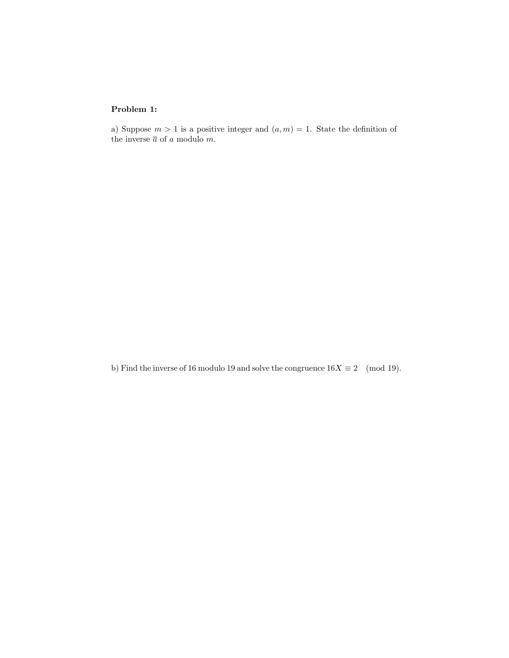### Problem 1:

a) Suppose  $m > 1$  is a positive integer and  $(a, m) = 1$ . State the definition of the inverse  $\overline{a}$  of  $a$  modulo  $m.$ 

b) Find the inverse of 16 modulo 19 and solve the congruence  $16X \equiv 2 \pmod{19}$ .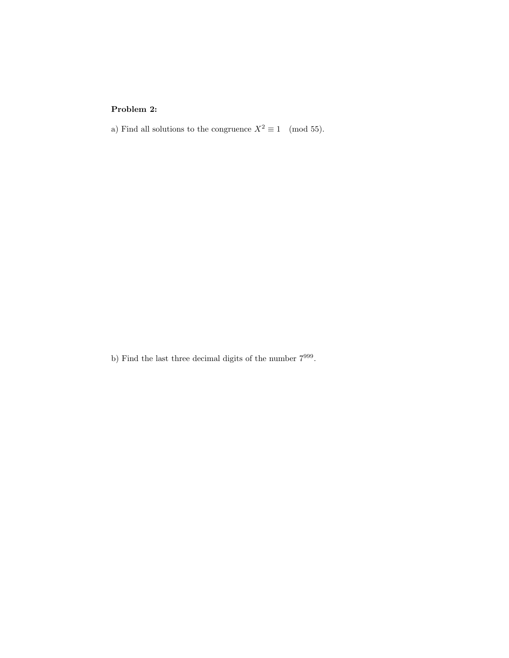# Problem 2:

a) Find all solutions to the congruence  $X^2 \equiv 1 \pmod{55}$ .

b) Find the last three decimal digits of the number  $7^{999}$ .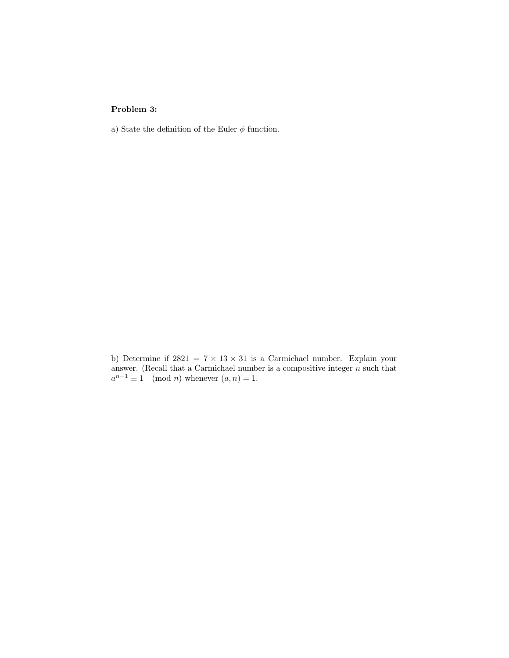### Problem 3:

a) State the definition of the Euler  $\phi$  function.

b) Determine if  $2821 = 7 \times 13 \times 31$  is a Carmichael number. Explain your answer. (Recall that a Carmichael number is a compositive integer  $n$  such that  $a^{n-1} \equiv 1 \pmod{n}$  whenever  $(a, n) = 1$ .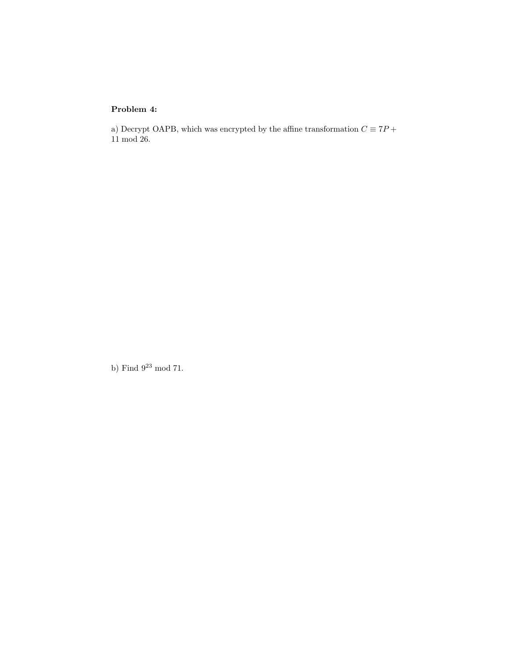## Problem 4:

a) Decrypt OAPB, which was encrypted by the affine transformation  $C\equiv 7P+$ 11 mod 26.

b) Find  $9^{23}$  mod 71.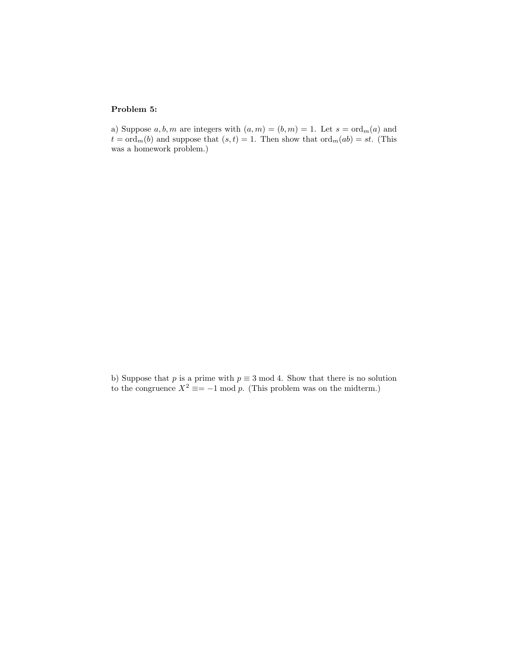### Problem 5:

a) Suppose  $a, b, m$  are integers with  $(a, m) = (b, m) = 1$ . Let  $s = \text{ord}_{m}(a)$  and  $t = \text{ord}_m(b)$  and suppose that  $(s, t) = 1$ . Then show that  $\text{ord}_m(ab) = st$ . (This was a homework problem.)

b) Suppose that p is a prime with  $p \equiv 3 \mod 4$ . Show that there is no solution to the congruence  $X^2 \equiv -1 \mod p$ . (This problem was on the midterm.)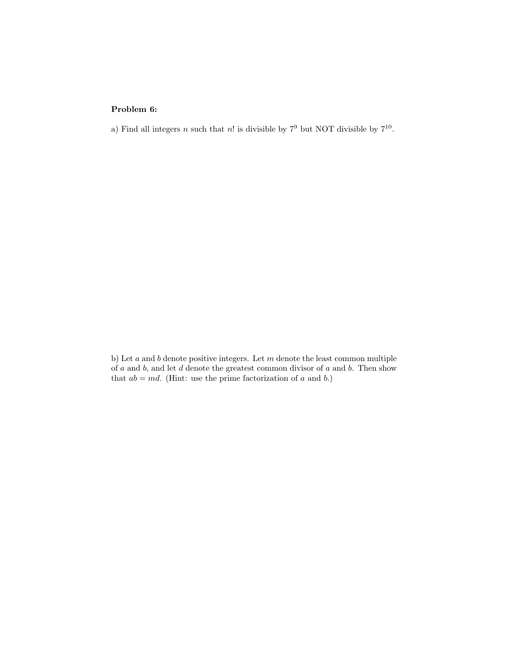### Problem 6:

a) Find all integers n such that n! is divisible by  $7^9$  but NOT divisible by  $7^{10}$ .

b) Let  $a$  and  $b$  denote positive integers. Let  $m$  denote the least common multiple of  $a$  and  $b$ , and let  $d$  denote the greatest common divisor of  $a$  and  $b$ . Then show that  $ab = md$ . (Hint: use the prime factorization of a and b.)